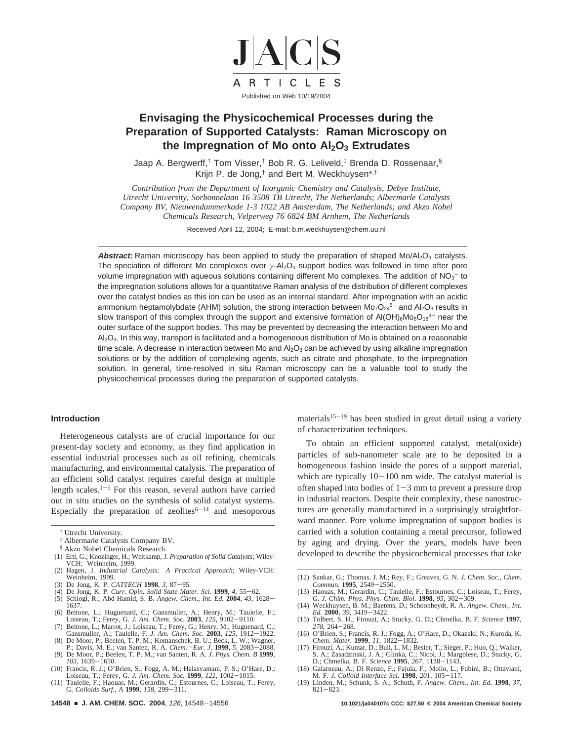

# **Envisaging the Physicochemical Processes during the Preparation of Supported Catalysts: Raman Microscopy on** the Impregnation of Mo onto Al<sub>2</sub>O<sub>3</sub> Extrudates

Jaap A. Bergwerff,† Tom Visser,† Bob R. G. Leliveld,‡ Brenda D. Rossenaar,§ Krijn P. de Jong,† and Bert M. Weckhuysen\*,†

*Contribution from the Department of Inorganic Chemistry and Catalysis, Debye Institute, Utrecht University, Sorbonnelaan 16 3508 TB Utrecht, The Netherlands; Albermarle Catalysts Company BV, Nieuwendammerkade 1-3 1022 AB Amsterdam, The Netherlands; and Akzo Nobel Chemicals Research, Velperweg 76 6824 BM Arnhem, The Netherlands*

Received April 12, 2004; E-mail: b.m.weckhuysen@chem.uu.nl

Abstract: Raman microscopy has been applied to study the preparation of shaped Mo/Al<sub>2</sub>O<sub>3</sub> catalysts. The speciation of different Mo complexes over *γ*-Al<sub>2</sub>O<sub>3</sub> support bodies was followed in time after pore volume impregnation with aqueous solutions containing different Mo complexes. The addition of NO<sub>3</sub><sup>-</sup> to the impregnation solutions allows for a quantitative Raman analysis of the distribution of different complexes over the catalyst bodies as this ion can be used as an internal standard. After impregnation with an acidic ammonium heptamolybdate (AHM) solution, the strong interaction between  $Mo<sub>7</sub>O<sub>24</sub><sup>6-</sup>$  and Al<sub>2</sub>O<sub>3</sub> results in slow transport of this complex through the support and extensive formation of  $AI(OH)_{6}Mo_{6}O_{18}^{3-}$  near the outer surface of the support bodies. This may be prevented by decreasing the interaction between Mo and Al<sub>2</sub>O<sub>3</sub>. In this way, transport is facilitated and a homogeneous distribution of Mo is obtained on a reasonable time scale. A decrease in interaction between Mo and  $A_2O_3$  can be achieved by using alkaline impregnation solutions or by the addition of complexing agents, such as citrate and phosphate, to the impregnation solution. In general, time-resolved in situ Raman microscopy can be a valuable tool to study the physicochemical processes during the preparation of supported catalysts.

### **Introduction**

Heterogeneous catalysts are of crucial importance for our present-day society and economy, as they find application in essential industrial processes such as oil refining, chemicals manufacturing, and environmental catalysis. The preparation of an efficient solid catalyst requires careful design at multiple length scales. $1-5$  For this reason, several authors have carried out in situ studies on the synthesis of solid catalyst systems. Especially the preparation of zeolites $6-14$  and mesoporous

- (1) Ertl, G.; Knozinger, H.; Weitkamp, J. *Preparation of Solid Catalysts*; Wiley-VCH: Weinheim, 1999.
- (2) Hagen, J. *Industrial Catalysis: A Practical Approach*; Wiley-VCH: Weinheim, 1999.
- 
- (3) De Jong, K. P. *CATTECH* **1998**, 3, 87–95.<br>(4) De Jong, K. P. *Curr. Opin. Solid State Mater. Sci.* **1999**, 4, 55–62.<br>(5) Schlogl, R.; Abd Hamid, S. B. *Angew. Chem., Int. Ed.* **2004**, 43, 1628–<br>1637.
- 1637.
- (6) Beitone, L.; Huguenard, C.; Gansmuller, A.; Henry, M.; Taulelle, F.; Loiseau, T.; Ferey, G. J. Am. Chem. Soc. 2003,  $125$ ,  $9102 9110$ .
- 
- Loiseau, T.; Ferey, G. J. Am. Chem. Soc. 2003, 125, 9102-9110.<br>
(7) Beitone, L.; Marrot, J.; Loiseau, T.; Ferey, G.; Henry, M.; Huguenard, C.;<br>
Gansmuller, A.; Taulelle, F. J. Am. Chem. Soc. 2003, 125, 1912-1922.<br>
(8) De M
- *<sup>103</sup>*, 1639-1650. (10) Francis, R. J.; O'Brien, S.; Fogg, A. M.; Halasyamani, P. S.; O'Hare, D.;
- 
- Loiseau, T.; Ferey, G. *J. Am. Chem. Soc.* **1999**, 121, 1002-1015.<br>(11) Taulelle, F.; Haouas, M.; Gerardin, C.; Estournes, C.; Loiseau, T.; Ferey, G. Colloids Surf., A **1999**, 158, 299-311.

materials $15-19$  has been studied in great detail using a variety of characterization techniques.

To obtain an efficient supported catalyst, metal(oxide) particles of sub-nanometer scale are to be deposited in a homogeneous fashion inside the pores of a support material, which are typically  $10-100$  nm wide. The catalyst material is often shaped into bodies of  $1-3$  mm to prevent a pressure drop in industrial reactors. Despite their complexity, these nanostructures are generally manufactured in a surprisingly straightforward manner. Pore volume impregnation of support bodies is carried with a solution containing a metal precursor, followed by aging and drying. Over the years, models have been developed to describe the physicochemical processes that take

- (12) Sankar, G.; Thomas, J. M.; Rey, F.; Greaves, G. N. *J. Chem. Soc., Chem. Commun.* **<sup>1995</sup>**, 2549-2550. (13) Haouas, M.; Gerardin, C.; Taulelle, F.; Estournes, C.; Loiseau, T.; Ferey,
- G. *J. Chim. Phys. Phys.-Chim. Biol.* **<sup>1998</sup>**, *<sup>95</sup>*, 302-309. (14) Weckhuysen, B. M.; Baetens, D.; Schoonheydt, R. A. *Angew. Chem., Int.*
- *Ed.* **<sup>2000</sup>**, *<sup>39</sup>*, 3419-3422. (15) Tolbert, S. H.; Firouzi, A.; Stucky, G. D.; Chmelka, B. F. *Science* **1997**,
- *<sup>278</sup>*, 264-268. (16) O'Brien, S.; Francis, R. J.; Fogg, A.; O'Hare, D.; Okazaki, N.; Kuroda, K.
- *Chem. Mater.* **<sup>1999</sup>**, *<sup>11</sup>*, 1822-1832. (17) Firouzi, A.; Kumar, D.; Bull, L. M.; Besier, T.; Sieger, P.; Huo, Q.; Walker,
- S. A.; Zasadzinski, J. A.; Glinka, C.; Nicol, J.; Margolese, D.; Stucky, G. S. A.; Zasadzinski, J. A.; Glinka, C.; Nicol, J.; Margolese, D.; Stucky, G. D.; Chmelka, B. F. Science 1995, 267, 1138–1143.
- D.; Chmelka, B. F. *Science* **<sup>1995</sup>**, *<sup>267</sup>*, 1138-1143. (18) Galarneau, A.; Di Renzo, F.; Fajula, F.; Mollo, L.; Fubini, B.; Ottaviani, M. F. *J. Colloid Interface Sci.* **<sup>1998</sup>**, *<sup>201</sup>*, 105-117.
- (19) Linden, M.; Schunk, S. A.; Schuth, F. *Angew. Chem., Int. Ed.* **1998**, *37*,  $821 - 823$ .

<sup>†</sup> Utrecht University.

<sup>‡</sup> Albermarle Catalysts Company BV.

<sup>§</sup> Akzo Nobel Chemicals Research.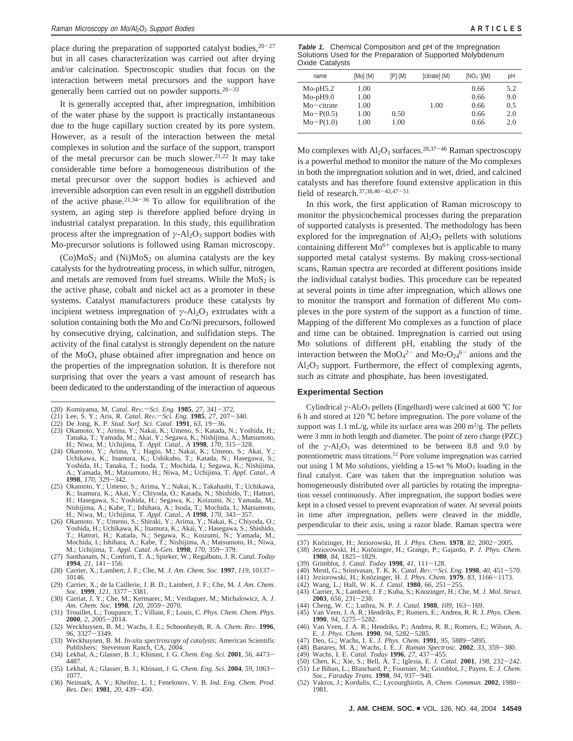place during the preparation of supported catalyst bodies,  $20-27$ but in all cases characterization was carried out after drying and/or calcination. Spectroscopic studies that focus on the interaction between metal precursors and the support have generally been carried out on powder supports. $28-33$ 

It is generally accepted that, after impregnation, imbibition of the water phase by the support is practically instantaneous due to the huge capillary suction created by its pore system. However, as a result of the interaction between the metal complexes in solution and the surface of the support, transport of the metal precursor can be much slower.<sup>21,22</sup> It may take considerable time before a homogeneous distribution of the metal precursor over the support bodies is achieved and irreversible adsorption can even result in an eggshell distribution of the active phase.<sup>21,34-36</sup> To allow for equilibration of the system, an aging step is therefore applied before drying in industrial catalyst preparation. In this study, this equilibration process after the impregnation of  $\gamma$ -Al<sub>2</sub>O<sub>3</sub> support bodies with Mo-precursor solutions is followed using Raman microscopy.

 $(Co)MoS<sub>2</sub>$  and  $(Ni)MoS<sub>2</sub>$  on alumina catalysts are the key catalysts for the hydrotreating process, in which sulfur, nitrogen, and metals are removed from fuel streams. While the  $MoS<sub>2</sub>$  is the active phase, cobalt and nickel act as a promoter in these systems. Catalyst manufacturers produce these catalysts by incipient wetness impregnation of  $\gamma$ -Al<sub>2</sub>O<sub>3</sub> extrudates with a solution containing both the Mo and Co/Ni precursors, followed by consecutive drying, calcination, and sulfidation steps. The activity of the final catalyst is strongly dependent on the nature of the MoO*<sup>x</sup>* phase obtained after impregnation and hence on the properties of the impregnation solution. It is therefore not surprising that over the years a vast amount of research has been dedicated to the understanding of the interaction of aqueous

- (20) Komiyama, M. *Catal. Rev.*-Sci. Eng. 1985, 27, 341-372.
- (21) Lee, S. Y.; Aris, R. *Catal. Re*V*.*s*Sci. Eng.* **<sup>1985</sup>**, *<sup>27</sup>*, 207-340.
- 
- (22) De Jong, K. P. *Stud. Surf. Sci. Catal.* **1991**, 63, 19–36.<br>(23) Okamoto, Y.; Arima, Y.; Nakai, K.; Umeno, S.; Katada, N.; Yoshida, H.;<br>Tanaka, T.; Yamada, M.; Akai, Y.; Segawa, K.; Nishijima, A.; Matsumoto,
- H.; Niwa, M.; Uchijima, T. *Appl. Catal., A* **<sup>1998</sup>**, *<sup>170</sup>*, 315-328. (24) Okamoto, Y.; Arima, Y.; Hagio, M.; Nakai, K.; Umeno, S.; Akai, Y.; Uchikawa, K.; Inamura, K.; Ushikubo, T.; Katada, N.; Hasegawa, S.; Yoshida, H.; Tanaka, T.; Isoda, T.; Mochida, I.; Segawa, K.; Nishijima, A.; Yamada, M.; Matsumoto, H.; Niwa, M.; Uchijima, T. *Appl. Catal., A*
- **<sup>1998</sup>**, *<sup>170</sup>*, 329-342. (25) Okamoto, Y.; Umeno, S.; Arima, Y.; Nakai, K.; Takahashi, T.; Uchikawa, K.; Inamura, K.; Akai, Y.; Chiyoda, O.; Katada, N.; Shishido, T.; Hattori, H.; Hasegawa, S.; Yoshida, H.; Segawa, K.; Koizumi, N.; Yamada, M.;
- Nishijima, A.; Kabe, T.; Ishihara, A.; Isoda, T.; Mochida, I.; Matsumoto, H.; Niwa, M.; Uchijima, T. Appl. Catal., A 1998, 170, 343-357.<br>(26) Okamoto, Y.; Umeno, S.; Shiraki, Y.; Arima, Y.; Nakai, K.; Chiyoda, O.; Yoshida, Mochida, I.; Ishihara, A.; Kabe, T.; Nishijima, A.; Matsumoto, H.; Niwa, M.; Uchijima, T. Appl. Catal. A-Gen. 1998, 170, 359–379.<br>(27) Santhanam, N.; Conforti, T. A.; Spieker, W.; Regalbuto, J. R. Catal. Today
- 
- **1994**, 21, 141-156.<br>
(28) Carrier, X.; Lambert, J. F.; Che, M. *J. Am. Chem. Soc.* **1997**, *119*, 10137-<br> **10146.** 10146.
- (29) Carrier, X.; de la Caillerie, J. B. D.; Lambert, J. F.; Che, M. *J. Am. Chem. Soc.* **<sup>1999</sup>**, *<sup>121</sup>*, 3377-3381. (30) Carriat, J. Y.; Che, M.; Kermarec, M.; Verdaguer, M.; Michalowicz, A. *J.*
- *Am. Chem. Soc.* **<sup>1998</sup>**, *<sup>120</sup>*, 2059-2070. (31) Trouillet, L.; Toupance, T.; Villain, F.; Louis, C. *Phys. Chem. Chem. Phys.*
- **2000**, *2*, 2005-2014.<br>
(32) Weckhuysen, B. M.; Wachs, I. E.; Schoonheydt, R. A. *Chem. Rev.* **1996**,<br>
96. 3327-3349.
- *<sup>96</sup>*, 3327-3349. (33) Weckhuysen, B. M. *In-situ spectroscopy of catalysts*; American Scientific Publishers: Stevenson Ranch, CA, 2004.
- (34) Lekhal, A.; Glasser, B. J.; Khinast, J. G. *Chem. Eng. Sci.* **<sup>2001</sup>**, *<sup>56</sup>*, 4473- 4487.
- (35) Lekhal, A.; Glasser, B. J.; Khinast, J. G. *Chem. Eng. Sci.* **<sup>2004</sup>**, *<sup>59</sup>*, 1063- 1077.
- (36) Neimark, A. V.; Kheifez, L. I.; Fenelonov, V. B. *Ind. Eng. Chem. Prod. Res. De*V*.* **<sup>1981</sup>**, *<sup>20</sup>*, 439-450.

**Table 1.** Chemical Composition and pH of the Impregnation Solutions Used for the Preparation of Supported Molybdenum Oxide Catalysts

| name        | [Mo] (M) | [P] (M) | [citrate] (M) | $[NO3^{-}](M)$ | pH  |
|-------------|----------|---------|---------------|----------------|-----|
| $Mo-pH5.2$  | 1.00     |         |               | 0.66           | 5.2 |
| $Mo-pH9.0$  | 1.00     |         |               | 0.66           | 9.0 |
| Mo-citrate  | 1.00     |         | 1.00          | 0.66           | 0.5 |
| $Mo-P(0.5)$ | 1.00     | 0.50    |               | 0.66           | 2.0 |
| $Mo-P(1.0)$ | 1.00     | 1.00    |               | 0.66           | 2.0 |
|             |          |         |               |                |     |

Mo complexes with  $Al_2O_3$  surfaces.<sup>28,37-46</sup> Raman spectroscopy is a powerful method to monitor the nature of the Mo complexes in both the impregnation solution and in wet, dried, and calcined catalysts and has therefore found extensive application in this field of research.37,38,40-42,47-<sup>51</sup>

In this work, the first application of Raman microscopy to monitor the physicochemical processes during the preparation of supported catalysts is presented. The methodology has been explored for the impregnation of  $Al_2O_3$  pellets with solutions containing different  $Mo^{6+}$  complexes but is applicable to many supported metal catalyst systems. By making cross-sectional scans, Raman spectra are recorded at different positions inside the individual catalyst bodies. This procedure can be repeated at several points in time after impregnation, which allows one to monitor the transport and formation of different Mo complexes in the pore system of the support as a function of time. Mapping of the different Mo complexes as a function of place and time can be obtained. Impregnation is carried out using Mo solutions of different pH, enabling the study of the interaction between the  $MoO<sub>4</sub><sup>2-</sup>$  and  $Mo<sub>7</sub>O<sub>24</sub><sup>6-</sup>$  anions and the  $Al_2O_3$  support. Furthermore, the effect of complexing agents, such as citrate and phosphate, has been investigated.

#### **Experimental Section**

Cylindrical *γ*-Al<sub>2</sub>O<sub>3</sub> pellets (Engelhard) were calcined at 600 °C for 6 h and stored at 120 °C before impregnation. The pore volume of the support was  $1.1 \text{ mL/g}$ , while its surface area was  $200 \text{ m}^2/\text{g}$ . The pellets were 3 mm in both length and diameter. The point of zero charge (PZC) of the  $\gamma$ -Al<sub>2</sub>O<sub>3</sub> was determined to be between 8.8 and 9.0 by potentiometric mass titrations.52 Pore volume impregnation was carried out using 1 M Mo solutions, yielding a 15-wt  $%$  MoO<sub>3</sub> loading in the final catalyst. Care was taken that the impregnation solution was homogeneously distributed over all particles by rotating the impregnation vessel continuously. After impregnation, the support bodies were kept in a closed vessel to prevent evaporation of water. At several points in time after impregnation, pellets were cleaved in the middle, perpendicular to their axis, using a razor blade. Raman spectra were

- (37) Knözinger, H.; Jeziorowski, H. *J. Phys. Chem.* **1978**, 82, 2002-2005.<br>(38) Jeziorowski, H.; Knözinger, H.; Grange, P.; Gajardo, P. *J. Phys. Chem.*
- 
- Grimblot, J. Catal. Today 1998, 41, 111–128.
- (39) Grimblot, J. *Catal. Today* **<sup>1998</sup>**, *<sup>41</sup>*, 111-128. (40) Mestl, G.; Srinivasan, T. K. K. *Catal. Re*V*.*s*Sci. Eng.* **<sup>1998</sup>**, *<sup>40</sup>*, 451-570.
- 
- (41) Jeziorowski, H.; Knözinger, H. *J. Phys. Chem.* **1979**, 83, 1166–1173. (42) Wang, L.; Hall, W. K. *J. Catal.* **1980**, 66, 251–255. (43) Carrier, X.; Lambert, J. F.; Kuba, S.; Knozinger, H.; Che, M. *J. Mol. Struct.*
- **2003**, *656*, 231–238.<br>(44) Cheng, W. C.; Luthra, N. P. J. Catal. **1988**, 109, 163–169.
- (44) Cheng, W. C.; Luthra, N. P. *J. Catal.* **<sup>1988</sup>**, *<sup>109</sup>*, 163-169. (45) Van Veen, J. A. R.; Hendriks, P.; Romers, E.; Andrea, R. R. *J. Phys. Chem.*
- **<sup>1990</sup>**, *<sup>94</sup>*, 5275-5282. (46) Van Veen, J. A. R.; Hendriks, P.; Andrea, R. R.; Romers, E.; Wilson, A.
- 
- E. *J. Phys. Chem.* **<sup>1990</sup>**, *<sup>94</sup>*, 5282-5285. (47) Deo, G.; Wachs, I. E. *J. Phys. Chem.* **<sup>1991</sup>**, *<sup>95</sup>*, 5889-5895. (48) Banares, M. A.; Wachs, I. E. *J. Raman Spectrosc.* **<sup>2002</sup>**, *<sup>33</sup>*, 359-380.
- (49) Wachs, I. E. *Catal. Today* **<sup>1996</sup>**, *<sup>27</sup>*, 437-455.
- (50) Chen, K.; Xie, S.; Bell, A. T.; Iglesia, E. *J. Catal.* **<sup>2001</sup>**, *<sup>198</sup>*, 232-242.
- (51) Le Bihan, L.; Blanchard, P.; Fournier, M.; Grimblot, J.; Payen, E. *J. Chem.*
- *Soc., Faraday Trans.* **<sup>1998</sup>**, *<sup>94</sup>*, 937-940. (52) Vakros, J.; Kordulis, C.; Lycourghiotis, A. *Chem. Commun.* **<sup>2002</sup>**, 1980- 1981.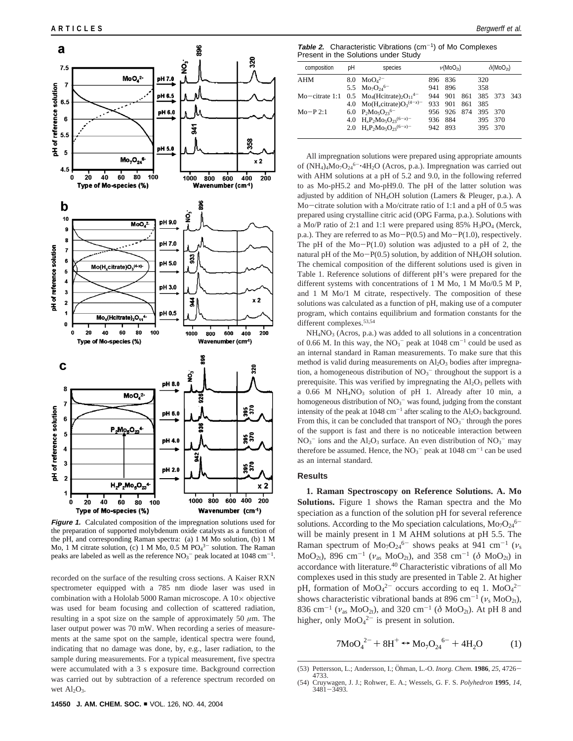

**Figure 1.** Calculated composition of the impregnation solutions used for the preparation of supported molybdenum oxide catalysts as a function of the pH, and corresponding Raman spectra: (a) 1 M Mo solution, (b) 1 M Mo, 1 M citrate solution, (c) 1 M Mo,  $0.5$  M PO $4^{3-}$  solution. The Raman peaks are labeled as well as the reference  $NO<sub>3</sub><sup>-</sup>$  peak located at 1048 cm<sup>-1</sup>.

recorded on the surface of the resulting cross sections. A Kaiser RXN spectrometer equipped with a 785 nm diode laser was used in combination with a Hololab 5000 Raman microscope. A 10× objective was used for beam focusing and collection of scattered radiation, resulting in a spot size on the sample of approximately 50  $\mu$ m. The laser output power was 70 mW. When recording a series of measurements at the same spot on the sample, identical spectra were found, indicating that no damage was done, by, e.g., laser radiation, to the sample during measurements. For a typical measurement, five spectra were accumulated with a 3 s exposure time. Background correction was carried out by subtraction of a reference spectrum recorded on wet  $Al<sub>2</sub>O<sub>3</sub>$ .

**Table 2.** Characteristic Vibrations (cm-1) of Mo Complexes Present in the Solutions under Study

| composition | pН | species                                                       | $\nu(M_0O_{2t})$ |                     |     | $\delta(M_0O_{2t})$ |         |      |
|-------------|----|---------------------------------------------------------------|------------------|---------------------|-----|---------------------|---------|------|
| AHM         |    | 8.0 $MoO42–$                                                  |                  | 896 836             |     | 320                 |         |      |
|             |    | 5.5 $Mo_7O_{24}^{6-}$                                         | 941              | 896                 |     | 358                 |         |      |
|             |    | Mo-citrate 1:1 $0.5 \text{ Mo}_{4}$ (Heitrate), $O_{11}^{4-}$ |                  | 944 901 861 385 373 |     |                     |         | -343 |
|             |    | 4.0 Mo(H <sub>r</sub> citrate) $O_3^{(4-x)-}$                 |                  | 933 901             | 861 | 385                 |         |      |
| $Mo-P2:1$   |    | 6.0 $P_2Mo_5O_{23}^{6-}$                                      |                  | 956 926 874         |     | 395 370             |         |      |
|             |    | 4.0 $H_xP_2Mo_5O_{23}^{(6-x)-}$                               |                  | 936 884             |     |                     | 395 370 |      |
|             |    | 2.0 $H_{y}P_{2}Mo_{5}O_{23}(6-x)$                             |                  | 942 893             |     |                     | 395 370 |      |
|             |    |                                                               |                  |                     |     |                     |         |      |

All impregnation solutions were prepared using appropriate amounts of (NH<sub>4</sub>)<sub>4</sub>Mo<sub>7</sub>O<sub>24</sub><sup>6-</sup>'4H<sub>2</sub>O (Acros, p.a.). Impregnation was carried out with AHM solutions at a pH of 5.2 and 9.0, in the following referred to as Mo-pH5.2 and Mo-pH9.0. The pH of the latter solution was adjusted by addition of NH4OH solution (Lamers & Pleuger, p.a.). A Mo-citrate solution with a Mo/citrate ratio of 1:1 and a pH of 0.5 was prepared using crystalline citric acid (OPG Farma, p.a.). Solutions with a Mo/P ratio of 2:1 and 1:1 were prepared using  $85\%$  H<sub>3</sub>PO<sub>4</sub> (Merck, p.a.). They are referred to as  $Mo-P(0.5)$  and  $Mo-P(1.0)$ , respectively. The pH of the  $Mo-P(1.0)$  solution was adjusted to a pH of 2, the natural pH of the Mo-P(0.5) solution, by addition of NH4OH solution. The chemical composition of the different solutions used is given in Table 1. Reference solutions of different pH's were prepared for the different systems with concentrations of 1 M Mo, 1 M Mo/0.5 M P, and 1 M Mo/1 M citrate, respectively. The composition of these solutions was calculated as a function of pH, making use of a computer program, which contains equilibrium and formation constants for the different complexes.<sup>53,54</sup>

NH4NO3 (Acros, p.a.) was added to all solutions in a concentration of 0.66 M. In this way, the  $NO<sub>3</sub><sup>-</sup>$  peak at 1048 cm<sup>-1</sup> could be used as an internal standard in Raman measurements. To make sure that this method is valid during measurements on  $Al_2O_3$  bodies after impregnation, a homogeneous distribution of  $NO<sub>3</sub><sup>-</sup>$  throughout the support is a prerequisite. This was verified by impregnating the  $Al_2O_3$  pellets with a 0.66 M NH<sub>4</sub>NO<sub>3</sub> solution of pH 1. Already after 10 min, a homogeneous distribution of  $NO<sub>3</sub><sup>-</sup>$  was found, judging from the constant intensity of the peak at  $1048 \text{ cm}^{-1}$  after scaling to the  $\text{Al}_2\text{O}_3$  background. From this, it can be concluded that transport of  $NO<sub>3</sub><sup>-</sup>$  through the pores of the support is fast and there is no noticeable interaction between  $NO<sub>3</sub><sup>-</sup>$  ions and the Al<sub>2</sub>O<sub>3</sub> surface. An even distribution of  $NO<sub>3</sub><sup>-</sup>$  may therefore be assumed. Hence, the  $NO<sub>3</sub><sup>-</sup>$  peak at 1048 cm<sup>-1</sup> can be used as an internal standard.

### **Results**

**1. Raman Spectroscopy on Reference Solutions. A. Mo Solutions.** Figure 1 shows the Raman spectra and the Mo speciation as a function of the solution pH for several reference solutions. According to the Mo speciation calculations,  $Mo<sub>7</sub>O<sub>24</sub><sup>6</sup>$ will be mainly present in 1 M AHM solutions at pH 5.5. The Raman spectrum of  $Mo_7O_{24}^{6-}$  shows peaks at 941 cm<sup>-1</sup> ( $v_s$ MoO<sub>2t</sub>), 896 cm<sup>-1</sup> ( $v_{\text{as}}$  MoO<sub>2t</sub>), and 358 cm<sup>-1</sup> ( $\delta$  MoO<sub>2t</sub>) in accordance with literature.40 Characteristic vibrations of all Mo complexes used in this study are presented in Table 2. At higher pH, formation of  $MoO<sub>4</sub><sup>2–</sup>$  occurs according to eq 1.  $MoO<sub>4</sub><sup>2–</sup>$ shows characteristic vibrational bands at 896 cm<sup>-1</sup> ( $v_s$  MoO<sub>2t</sub>), 836 cm<sup>-1</sup> ( $v_{as}$  MoO<sub>2t</sub>), and 320 cm<sup>-1</sup> ( $\delta$  MoO<sub>2t</sub>). At pH 8 and higher, only  $MoO<sub>4</sub><sup>2–</sup>$  is present in solution.

$$
7\text{MoO}_4^{2-} + 8\text{H}^+ \leftrightarrow \text{Mo}_7\text{O}_{24}^{6-} + 4\text{H}_2\text{O} \tag{1}
$$

<sup>(53)</sup> Pettersson, L.; Andersson, I.; Öhman, L.-O. *Inorg. Chem.* **1986**, 25, 4726–4733.<br>
(54) Cruywagen J. J. Rohwer, E. A.: Wessels. G. F. S. *Polyhedron* **1995**. 14. 4733.

<sup>(54)</sup> Cruywagen, J. J.; Rohwer, E. A.; Wessels, G. F. S. *Polyhedron* **<sup>1995</sup>**, *<sup>14</sup>*, <sup>3481</sup>-3493.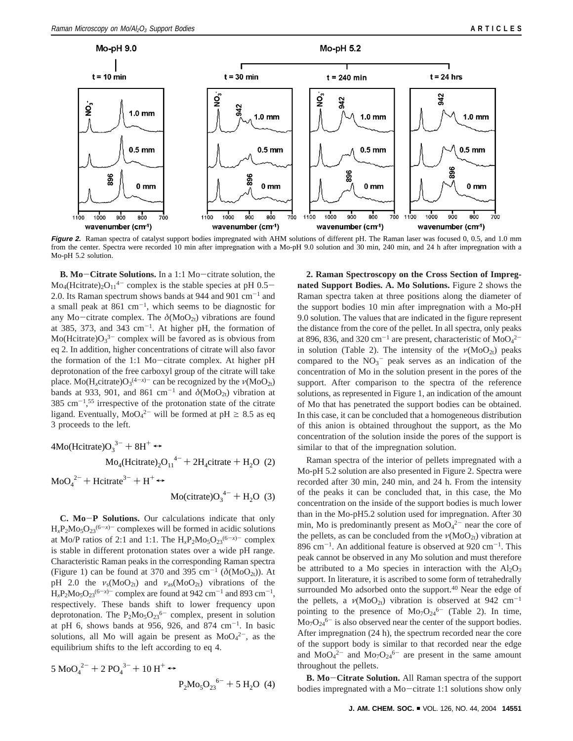

**Figure 2.** Raman spectra of catalyst support bodies impregnated with AHM solutions of different pH. The Raman laser was focused 0, 0.5, and 1.0 mm from the center. Spectra were recorded 10 min after impregnation with a Mo-pH 9.0 solution and 30 min, 240 min, and 24 h after impregnation with a Mo-pH 5.2 solution.

**B. Mo**-**Citrate Solutions.** In a 1:1 Mo-citrate solution, the  $\text{Mo}_{4}(\text{Hcitrate})_{2}\text{O}_{11}^{4-}$  complex is the stable species at pH 0.5-2.0. Its Raman spectrum shows bands at 944 and 901  $\text{cm}^{-1}$  and a small peak at  $861 \text{ cm}^{-1}$ , which seems to be diagnostic for any Mo-citrate complex. The  $\delta(M_0O_{2t})$  vibrations are found at 385, 373, and 343  $cm^{-1}$ . At higher pH, the formation of  $Mo(Hcitrate)O<sub>3</sub><sup>3-</sup> complex will be favored as is obvious from$ eq 2. In addition, higher concentrations of citrate will also favor the formation of the 1:1 Mo-citrate complex. At higher pH deprotonation of the free carboxyl group of the citrate will take place.  $Mo(H_x$ citrate) $O_3^{(4-x)-}$  can be recognized by the  $\nu(M_0O_{2t})$ bands at 933, 901, and 861 cm<sup>-1</sup> and  $\delta(M_0O_{2t})$  vibration at  $385 \text{ cm}^{-1}$ ,<sup>55</sup> irrespective of the protonation state of the citrate ligand. Eventually,  $MoO<sub>4</sub><sup>2-</sup>$  will be formed at pH  $\geq 8.5$  as eq 3 proceeds to the left.

$$
4\text{Mo}(\text{Hcitrate})O_3^{3-} + 8\text{H}^+ \leftrightarrow
$$
  

$$
\text{Mo}_4(\text{Hcitrate})_2O_{11}^{4-} + 2\text{H}_4\text{citrate} + \text{H}_2\text{O} \text{ (2)}
$$

 $\text{MoO}_4^2$ <sup>2-</sup> + Hcitrate<sup>3-</sup> + H<sup>+</sup>  $\leftrightarrow$ 

 $Mo(citrate)O_3^{4-} + H_2O$  (3)

**C. Mo**-**P Solutions.** Our calculations indicate that only  $H_xP_2Mo_5O_{23}^{(6-x)-}$  complexes will be formed in acidic solutions at Mo/P ratios of 2:1 and 1:1. The  $H_xP_2M_0P_5O_{23}^{(6-x)-}$  complex is stable in different protonation states over a wide pH range. Characteristic Raman peaks in the corresponding Raman spectra (Figure 1) can be found at 370 and 395 cm<sup>-1</sup> ( $\delta (MoO<sub>2t</sub>)$ ). At pH 2.0 the  $v_s(M_0O_{2t})$  and  $v_{as}(M_0O_{2t})$  vibrations of the  $H_xP_2M_0$ <sub>5</sub>O<sub>23</sub><sup>(6-*x*)-</sup> complex are found at 942 cm<sup>-1</sup> and 893 cm<sup>-1</sup>, respectively. These bands shift to lower frequency upon deprotonation. The  $P_2M_0s_5O_{23}^{6-}$  complex, present in solution at pH 6, shows bands at 956, 926, and 874 cm<sup>-1</sup>. In basic solutions, all Mo will again be present as  $MoO<sub>4</sub><sup>2</sup>$ , as the equilibrium shifts to the left according to eq 4.

$$
5 \text{ MoO}_4^{2-} + 2 \text{ PO}_4^{3-} + 10 \text{ H}^+ \leftrightarrow
$$
  
P<sub>2</sub>Mo<sub>5</sub>O<sub>23</sub><sup>6-</sup> + 5 H<sub>2</sub>O (4)

**2. Raman Spectroscopy on the Cross Section of Impregnated Support Bodies. A. Mo Solutions.** Figure 2 shows the Raman spectra taken at three positions along the diameter of the support bodies 10 min after impregnation with a Mo-pH 9.0 solution. The values that are indicated in the figure represent the distance from the core of the pellet. In all spectra, only peaks at 896, 836, and 320 cm<sup>-1</sup> are present, characteristic of  $MoO<sub>4</sub><sup>2</sup>$ in solution (Table 2). The intensity of the  $\nu(M_0O_{2t})$  peaks compared to the  $NO<sub>3</sub><sup>-</sup>$  peak serves as an indication of the concentration of Mo in the solution present in the pores of the support. After comparison to the spectra of the reference solutions, as represented in Figure 1, an indication of the amount of Mo that has penetrated the support bodies can be obtained. In this case, it can be concluded that a homogeneous distribution of this anion is obtained throughout the support, as the Mo concentration of the solution inside the pores of the support is similar to that of the impregnation solution.

Raman spectra of the interior of pellets impregnated with a Mo-pH 5.2 solution are also presented in Figure 2. Spectra were recorded after 30 min, 240 min, and 24 h. From the intensity of the peaks it can be concluded that, in this case, the Mo concentration on the inside of the support bodies is much lower than in the Mo-pH5.2 solution used for impregnation. After 30 min, Mo is predominantly present as  $MoO<sub>4</sub><sup>2-</sup>$  near the core of the pellets, as can be concluded from the  $\nu(M_0O_{2t})$  vibration at 896 cm<sup>-1</sup>. An additional feature is observed at 920 cm<sup>-1</sup>. This peak cannot be observed in any Mo solution and must therefore be attributed to a Mo species in interaction with the  $Al_2O_3$ support. In literature, it is ascribed to some form of tetrahedrally surrounded Mo adsorbed onto the support.<sup>40</sup> Near the edge of the pellets, a  $v(MoO_{2t})$  vibration is observed at 942 cm<sup>-1</sup> pointing to the presence of  $Mo<sub>7</sub>O<sub>24</sub><sup>6-</sup>$  (Table 2). In time,  $Mo<sub>7</sub>O<sub>24</sub><sup>6-</sup>$  is also observed near the center of the support bodies. After impregnation (24 h), the spectrum recorded near the core of the support body is similar to that recorded near the edge and  $MoO<sub>4</sub><sup>2-</sup>$  and  $Mo<sub>7</sub>O<sub>24</sub><sup>6-</sup>$  are present in the same amount throughout the pellets.

**B. Mo**-**Citrate Solution.** All Raman spectra of the support bodies impregnated with a Mo-citrate 1:1 solutions show only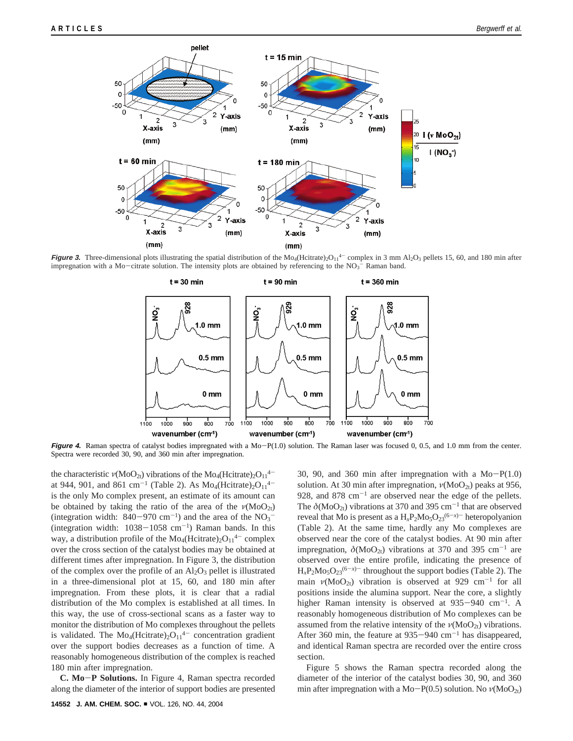

**Figure 3.** Three-dimensional plots illustrating the spatial distribution of the  $Mo_4$ (Hcitrate)<sub>2</sub>O<sub>11</sub><sup>4</sup> complex in 3 mm Al<sub>2</sub>O<sub>3</sub> pellets 15, 60, and 180 min after impregnation with a Mo-citrate solution. The intensity plots are obtained by referencing to the  $NO<sub>3</sub><sup>-</sup>$  Raman band.



Figure 4. Raman spectra of catalyst bodies impregnated with a Mo-P(1.0) solution. The Raman laser was focused 0, 0.5, and 1.0 mm from the center. Spectra were recorded 30, 90, and 360 min after impregnation.

the characteristic  $\nu(M_0O_{2t})$  vibrations of the Mo<sub>4</sub>(Hcitrate)<sub>2</sub>O<sub>11</sub><sup>4–</sup> at 944, 901, and 861 cm<sup>-1</sup> (Table 2). As  $Mo_4(Heitrate)_2O_{11}^{4-}$ is the only Mo complex present, an estimate of its amount can be obtained by taking the ratio of the area of the  $\nu(M_0O_{2t})$ (integration width:  $840-970 \text{ cm}^{-1}$ ) and the area of the  $NO_3^-$ <br>(integration width:  $1038-1058 \text{ cm}^{-1}$ ) Raman bands. In this (integration width:  $1038-1058$  cm<sup>-1</sup>) Raman bands. In this way, a distribution profile of the  $Mo_4(Hcitrate)_{2}O_{11}^{4-}$  complex over the cross section of the catalyst bodies may be obtained at different times after impregnation. In Figure 3, the distribution of the complex over the profile of an  $Al_2O_3$  pellet is illustrated in a three-dimensional plot at 15, 60, and 180 min after impregnation. From these plots, it is clear that a radial distribution of the Mo complex is established at all times. In this way, the use of cross-sectional scans as a faster way to monitor the distribution of Mo complexes throughout the pellets is validated. The  $Mo_4(Heitrate)_2O_{11}^{4-}$  concentration gradient over the support bodies decreases as a function of time. A reasonably homogeneous distribution of the complex is reached 180 min after impregnation.

**C. Mo**-**P Solutions.** In Figure 4, Raman spectra recorded along the diameter of the interior of support bodies are presented

30, 90, and 360 min after impregnation with a  $Mo-P(1.0)$ solution. At 30 min after impregnation,  $\nu(M_0O_{2t})$  peaks at 956, 928, and 878  $cm^{-1}$  are observed near the edge of the pellets. The  $\delta(M_0O_{2t})$  vibrations at 370 and 395 cm<sup>-1</sup> that are observed reveal that Mo is present as a  $H_xP_2M0_5O_{23}^{(6-x)-}$  heteropolyanion (Table 2). At the same time, hardly any Mo complexes are observed near the core of the catalyst bodies. At 90 min after impregnation,  $\delta(M_0O_{2t})$  vibrations at 370 and 395 cm<sup>-1</sup> are observed over the entire profile, indicating the presence of  $H_xP_2Mo_5O_{23}^{(6-x)-}$  throughout the support bodies (Table 2). The main  $v(MoO_{2t})$  vibration is observed at 929 cm<sup>-1</sup> for all positions inside the alumina support. Near the core, a slightly higher Raman intensity is observed at  $935-940$  cm<sup>-1</sup>. A reasonably homogeneous distribution of Mo complexes can be assumed from the relative intensity of the  $\nu(M_0O_{2t})$  vibrations. After 360 min, the feature at  $935-940$  cm<sup>-1</sup> has disappeared, and identical Raman spectra are recorded over the entire cross section.

Figure 5 shows the Raman spectra recorded along the diameter of the interior of the catalyst bodies 30, 90, and 360 min after impregnation with a Mo-P(0.5) solution. No  $ν(MoO<sub>2t</sub>)$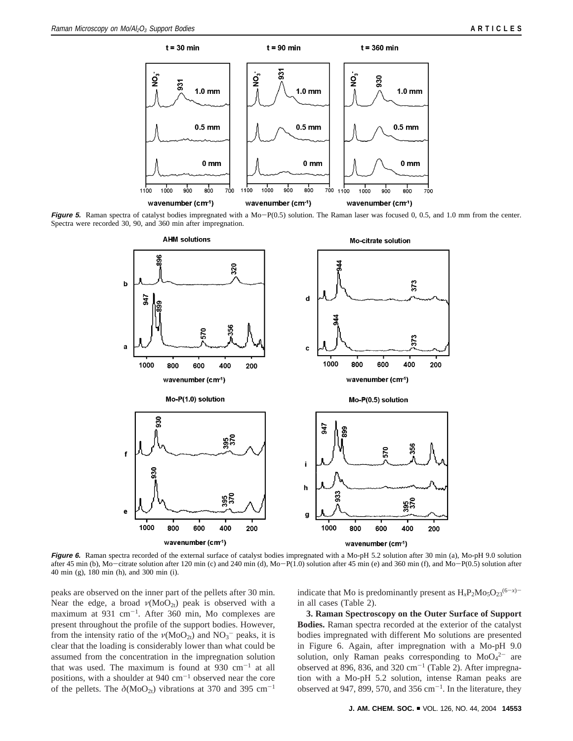

**Figure** 5. Raman spectra of catalyst bodies impregnated with a Mo-P(0.5) solution. The Raman laser was focused 0, 0.5, and 1.0 mm from the center. Spectra were recorded 30, 90, and 360 min after impregnation.



Figure 6. Raman spectra recorded of the external surface of catalyst bodies impregnated with a Mo-pH 5.2 solution after 30 min (a), Mo-pH 9.0 solution after 45 min (b), Mo-citrate solution after 120 min (c) and 240 min (d), Mo-P(1.0) solution after 45 min (e) and 360 min (f), and Mo-P(0.5) solution after 40 min (g), 180 min (h), and 300 min (i).

peaks are observed on the inner part of the pellets after 30 min. Near the edge, a broad  $\nu(MoO_{2t})$  peak is observed with a maximum at  $931 \text{ cm}^{-1}$ . After 360 min, Mo complexes are present throughout the profile of the support bodies. However, from the intensity ratio of the  $\nu(M_0O_{2t})$  and  $NO_3^-$  peaks, it is clear that the loading is considerably lower than what could be assumed from the concentration in the impregnation solution that was used. The maximum is found at 930  $cm^{-1}$  at all positions, with a shoulder at  $940 \text{ cm}^{-1}$  observed near the core of the pellets. The  $\delta(M_0O_{2t})$  vibrations at 370 and 395 cm<sup>-1</sup> indicate that Mo is predominantly present as  $H_xP_2Mo_5O_{23}^{(6-x)-}$ in all cases (Table 2).

**3. Raman Spectroscopy on the Outer Surface of Support Bodies.** Raman spectra recorded at the exterior of the catalyst bodies impregnated with different Mo solutions are presented in Figure 6. Again, after impregnation with a Mo-pH 9.0 solution, only Raman peaks corresponding to  $MoO<sub>4</sub><sup>2-</sup>$  are observed at 896, 836, and 320  $cm^{-1}$  (Table 2). After impregnation with a Mo-pH 5.2 solution, intense Raman peaks are observed at 947, 899, 570, and 356 cm<sup>-1</sup>. In the literature, they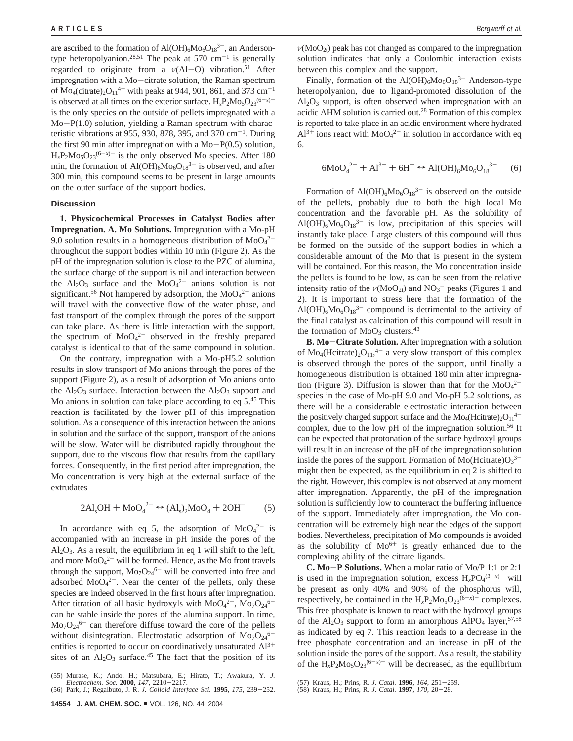are ascribed to the formation of  $Al(OH)_6Mo_6O_{18}^{3-}$ , an Andersontype heteropolyanion.<sup>28,51</sup> The peak at 570 cm<sup>-1</sup> is generally regarded to originate from a *<sup>ν</sup>*(Al-O) vibration.51 After impregnation with a Mo-citrate solution, the Raman spectrum of  $\text{Mo}_{4}(\text{citrate})_{2}\text{O}_{11}^{4-}$  with peaks at 944, 901, 861, and 373 cm<sup>-1</sup> is observed at all times on the exterior surface.  $H_xP_2Mo_5O_{23}^{(6-x)-}$ is the only species on the outside of pellets impregnated with a Mo-P(1.0) solution, yielding a Raman spectrum with characteristic vibrations at 955, 930, 878, 395, and 370 cm<sup>-1</sup>. During the first 90 min after impregnation with a  $Mo-P(0.5)$  solution,  $H_xP_2Mo_5O_{23}^{(6-x)-}$  is the only observed Mo species. After 180 min, the formation of  $Al(OH)_6Mo_6O_{18}^{3-}$  is observed, and after 300 min, this compound seems to be present in large amounts on the outer surface of the support bodies.

# **Discussion**

**1. Physicochemical Processes in Catalyst Bodies after Impregnation. A. Mo Solutions.** Impregnation with a Mo-pH 9.0 solution results in a homogeneous distribution of  $MoO<sub>4</sub><sup>2</sup>$ throughout the support bodies within 10 min (Figure 2). As the pH of the impregnation solution is close to the PZC of alumina, the surface charge of the support is nil and interaction between the  $Al_2O_3$  surface and the  $MoO_4^{2-}$  anions solution is not significant.<sup>56</sup> Not hampered by adsorption, the  $MoO<sub>4</sub><sup>2-</sup>$  anions will travel with the convective flow of the water phase, and fast transport of the complex through the pores of the support can take place. As there is little interaction with the support, the spectrum of  $MoO<sub>4</sub><sup>2-</sup>$  observed in the freshly prepared catalyst is identical to that of the same compound in solution.

On the contrary, impregnation with a Mo-pH5.2 solution results in slow transport of Mo anions through the pores of the support (Figure 2), as a result of adsorption of Mo anions onto the  $Al_2O_3$  surface. Interaction between the  $Al_2O_3$  support and Mo anions in solution can take place according to eq 5.45 This reaction is facilitated by the lower pH of this impregnation solution. As a consequence of this interaction between the anions in solution and the surface of the support, transport of the anions will be slow. Water will be distributed rapidly throughout the support, due to the viscous flow that results from the capillary forces. Consequently, in the first period after impregnation, the Mo concentration is very high at the external surface of the extrudates

$$
2Al_sOH + MoO_4^{2-} \leftrightarrow (Al_s)_2MoO_4 + 2OH^-
$$
 (5)

In accordance with eq 5, the adsorption of  $MoO<sub>4</sub><sup>2-</sup>$  is accompanied with an increase in pH inside the pores of the  $Al<sub>2</sub>O<sub>3</sub>$ . As a result, the equilibrium in eq 1 will shift to the left, and more  $MoO<sub>4</sub><sup>2–</sup>$  will be formed. Hence, as the Mo front travels through the support,  $Mo<sub>7</sub>O<sub>24</sub><sup>6-</sup>$  will be converted into free and adsorbed  $MoO<sub>4</sub><sup>2</sup>$ . Near the center of the pellets, only these species are indeed observed in the first hours after impregnation. After titration of all basic hydroxyls with  $MoO<sub>4</sub><sup>2</sup>$ ,  $Mo<sub>7</sub>O<sub>24</sub><sup>6</sup>$ can be stable inside the pores of the alumina support. In time,  $\text{Mo}_{7}\text{O}_{24}^{6-}$  can therefore diffuse toward the core of the pellets without disintegration. Electrostatic adsorption of  $Mo<sub>7</sub>O<sub>24</sub><sup>6</sup>$ entities is reported to occur on coordinatively unsaturated  $Al^{3+}$ sites of an  $Al_2O_3$  surface.<sup>45</sup> The fact that the position of its  $\nu(M_0O_{2t})$  peak has not changed as compared to the impregnation solution indicates that only a Coulombic interaction exists between this complex and the support.

Finally, formation of the  $Al(OH)_6Mo_6O_{18}^{3-}$  Anderson-type heteropolyanion, due to ligand-promoted dissolution of the  $Al_2O_3$  support, is often observed when impregnation with an acidic AHM solution is carried out.28 Formation of this complex is reported to take place in an acidic environment where hydrated  $Al^{3+}$  ions react with  $MoO<sub>4</sub><sup>2-</sup>$  in solution in accordance with eq 6.

$$
6\text{MoO}_4^{2-} + \text{Al}^{3+} + 6\text{H}^+ \leftrightarrow \text{Al(OH)}_6{\text{Mo}_6\text{O}_{18}}^{3-} \tag{6}
$$

Formation of Al(OH)<sub>6</sub>Mo<sub>6</sub>O<sub>18</sub><sup>3-</sup> is observed on the outside of the pellets, probably due to both the high local Mo concentration and the favorable pH. As the solubility of  $Al(OH)_{6}Mo_{6}O_{18}^{3-}$  is low, precipitation of this species will instantly take place. Large clusters of this compound will thus be formed on the outside of the support bodies in which a considerable amount of the Mo that is present in the system will be contained. For this reason, the Mo concentration inside the pellets is found to be low, as can be seen from the relative intensity ratio of the  $\nu(MOO_{2t})$  and  $NO_3$ <sup>-</sup> peaks (Figures 1 and 2). It is important to stress here that the formation of the  $Al(OH)_{6}Mo_{6}O_{18}^{3-}$  compound is detrimental to the activity of the final catalyst as calcination of this compound will result in the formation of  $MoO<sub>3</sub>$  clusters.<sup>43</sup>

**B. Mo**-**Citrate Solution.** After impregnation with a solution of  $Mo_4(Heitrate)<sub>2</sub>O<sub>11</sub>,<sup>4-</sup>$  a very slow transport of this complex is observed through the pores of the support, until finally a homogeneous distribution is obtained 180 min after impregnation (Figure 3). Diffusion is slower than that for the  $MoO<sub>4</sub><sup>2</sup>$ species in the case of Mo-pH 9.0 and Mo-pH 5.2 solutions, as there will be a considerable electrostatic interaction between the positively charged support surface and the  $Mo_4(Heitrate)_2O_{11}^{4-}$ complex, due to the low pH of the impregnation solution.56 It can be expected that protonation of the surface hydroxyl groups will result in an increase of the pH of the impregnation solution inside the pores of the support. Formation of  $Mo(Hcitrate)O<sub>3</sub><sup>3</sup>$ might then be expected, as the equilibrium in eq 2 is shifted to the right. However, this complex is not observed at any moment after impregnation. Apparently, the pH of the impregnation solution is sufficiently low to counteract the buffering influence of the support. Immediately after impregnation, the Mo concentration will be extremely high near the edges of the support bodies. Nevertheless, precipitation of Mo compounds is avoided as the solubility of  $Mo^{6+}$  is greatly enhanced due to the complexing ability of the citrate ligands.

**C. Mo**-**P Solutions.** When a molar ratio of Mo/P 1:1 or 2:1 is used in the impregnation solution, excess  $H_xPO_4^{(3-x)-}$  will be present as only 40% and 90% of the phosphorus will, respectively, be contained in the  $H_xP_2Mo_5O_{23}^{(6-x)-}$  complexes. This free phosphate is known to react with the hydroxyl groups of the  $Al_2O_3$  support to form an amorphous  $AlPO_4$  layer,  $57,58$ as indicated by eq 7. This reaction leads to a decrease in the free phosphate concentration and an increase in pH of the solution inside the pores of the support. As a result, the stability of the  $H_xP_2Mo_5O_{23}^{(6-x)-}$  will be decreased, as the equilibrium

<sup>(55)</sup> Murase, K.; Ando, H.; Matsubara, E.; Hirato, T.; Awakura, Y. *J. Electrochem. Soc.* **2000**, *147*, 2210–2217.<br>(56) Park, J.; Regalbuto, J. R. *J. Colloid Interface Sci.* **1995**, *175*, 239–252.

<sup>(57)</sup> Kraus, H.; Prins, R. *J. Catal.* **<sup>1996</sup>**, *<sup>164</sup>*, 251-259. (58) Kraus, H.; Prins, R. *J. Catal.* **<sup>1997</sup>**, *<sup>170</sup>*, 20-28.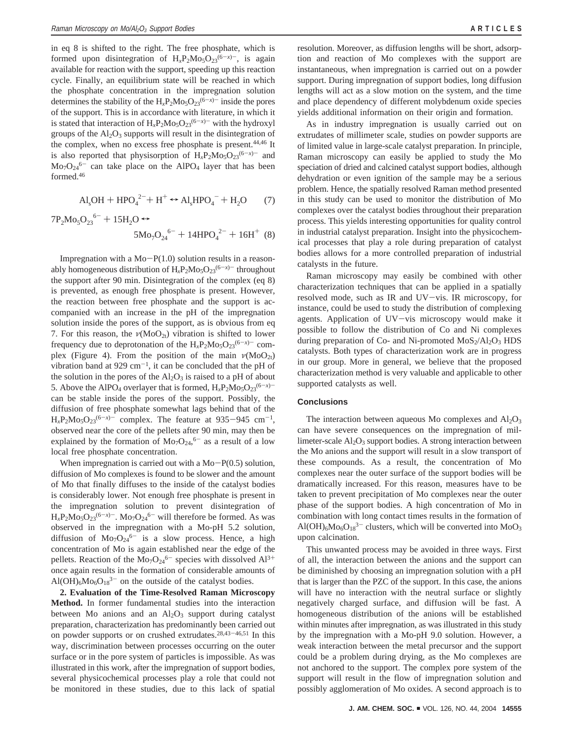in eq 8 is shifted to the right. The free phosphate, which is formed upon disintegration of  $H_xP_2Mo_5O_{23}^{(6-x)-}$ , is again available for reaction with the support, speeding up this reaction cycle. Finally, an equilibrium state will be reached in which the phosphate concentration in the impregnation solution determines the stability of the  $H_xP_2Mo_5O_{23}^{(6-x)-}$  inside the pores of the support. This is in accordance with literature, in which it is stated that interaction of  $H_xP_2Mo_5O_{23}^{(6-x)-}$  with the hydroxyl groups of the  $Al_2O_3$  supports will result in the disintegration of the complex, when no excess free phosphate is present.<sup>44,46</sup> It is also reported that physisorption of  $H_xP_2Mo_5O_{23}^{(6-x)-}$  and  $Mo<sub>7</sub>O<sub>24</sub><sup>6-</sup>$  can take place on the AlPO<sub>4</sub> layer that has been formed.46

$$
Al_sOH + HPO_4^{2-} + H^+ \leftrightarrow Al_sHPO_4^{-} + H_2O \qquad (7)
$$

$$
7P_2Mo_5O_{23}^{6-} + 15H_2O \leftrightarrow
$$
  

$$
5Mo_7O_{24}^{6-} + 14HPO_4^{2-} + 16H^+(8)
$$

Impregnation with a  $Mo-P(1.0)$  solution results in a reasonably homogeneous distribution of  $H_xP_2Mo_5O_{23}^{(6-x)-}$  throughout the support after 90 min. Disintegration of the complex (eq 8) is prevented, as enough free phosphate is present. However, the reaction between free phosphate and the support is accompanied with an increase in the pH of the impregnation solution inside the pores of the support, as is obvious from eq 7. For this reason, the  $\nu(MoO_{2t})$  vibration is shifted to lower frequency due to deprotonation of the  $H_xP_2Mo_5O_{23}^{(6-x)-}$  complex (Figure 4). From the position of the main  $\nu(M_0O_{2t})$ vibration band at 929 cm<sup>-1</sup>, it can be concluded that the pH of the solution in the pores of the  $Al_2O_3$  is raised to a pH of about 5. Above the AlPO<sub>4</sub> overlayer that is formed,  $H_xP_2Mo_5O_{23}^{(6-x)-}$ can be stable inside the pores of the support. Possibly, the diffusion of free phosphate somewhat lags behind that of the  $H_xP_2Mo_5O_{23}^{(6-x)-}$  complex. The feature at 935-945 cm<sup>-1</sup>, observed near the core of the pellets after 90 min, may then be explained by the formation of  $Mo<sub>7</sub>O<sub>24</sub>,<sup>6-</sup>$  as a result of a low local free phosphate concentration.

When impregnation is carried out with a  $Mo-P(0.5)$  solution, diffusion of Mo complexes is found to be slower and the amount of Mo that finally diffuses to the inside of the catalyst bodies is considerably lower. Not enough free phosphate is present in the impregnation solution to prevent disintegration of  $H_xP_2Mo_5O_{23}^{(6-x)-}$ . Mo<sub>7</sub>O<sub>24</sub><sup>6-</sup> will therefore be formed. As was observed in the impregnation with a Mo-pH 5.2 solution, diffusion of  $Mo_7O_{24}^{6-}$  is a slow process. Hence, a high concentration of Mo is again established near the edge of the pellets. Reaction of the  $Mo<sub>7</sub>O<sub>24</sub><sup>6-</sup>$  species with dissolved  $Al<sup>3+</sup>$ once again results in the formation of considerable amounts of  $Al(OH)_{6}Mo_{6}O_{18}^{3-}$  on the outside of the catalyst bodies.

**2. Evaluation of the Time-Resolved Raman Microscopy Method.** In former fundamental studies into the interaction between Mo anions and an  $Al_2O_3$  support during catalyst preparation, characterization has predominantly been carried out on powder supports or on crushed extrudates.28,43-46,51 In this way, discrimination between processes occurring on the outer surface or in the pore system of particles is impossible. As was illustrated in this work, after the impregnation of support bodies, several physicochemical processes play a role that could not be monitored in these studies, due to this lack of spatial resolution. Moreover, as diffusion lengths will be short, adsorption and reaction of Mo complexes with the support are instantaneous, when impregnation is carried out on a powder support. During impregnation of support bodies, long diffusion lengths will act as a slow motion on the system, and the time and place dependency of different molybdenum oxide species yields additional information on their origin and formation.

As in industry impregnation is usually carried out on extrudates of millimeter scale, studies on powder supports are of limited value in large-scale catalyst preparation. In principle, Raman microscopy can easily be applied to study the Mo speciation of dried and calcined catalyst support bodies, although dehydration or even ignition of the sample may be a serious problem. Hence, the spatially resolved Raman method presented in this study can be used to monitor the distribution of Mo complexes over the catalyst bodies throughout their preparation process. This yields interesting opportunities for quality control in industrial catalyst preparation. Insight into the physicochemical processes that play a role during preparation of catalyst bodies allows for a more controlled preparation of industrial catalysts in the future.

Raman microscopy may easily be combined with other characterization techniques that can be applied in a spatially resolved mode, such as IR and UV-vis. IR microscopy, for instance, could be used to study the distribution of complexing agents. Application of UV-vis microscopy would make it possible to follow the distribution of Co and Ni complexes during preparation of Co- and Ni-promoted  $M_0S_2/Al_2O_3$  HDS catalysts. Both types of characterization work are in progress in our group. More in general, we believe that the proposed characterization method is very valuable and applicable to other supported catalysts as well.

## **Conclusions**

The interaction between aqueous Mo complexes and  $Al_2O_3$ can have severe consequences on the impregnation of millimeter-scale  $\text{Al}_2\text{O}_3$  support bodies. A strong interaction between the Mo anions and the support will result in a slow transport of these compounds. As a result, the concentration of Mo complexes near the outer surface of the support bodies will be dramatically increased. For this reason, measures have to be taken to prevent precipitation of Mo complexes near the outer phase of the support bodies. A high concentration of Mo in combination with long contact times results in the formation of  $Al(OH)_{6}Mo_{6}O_{18}^{3-}$  clusters, which will be converted into  $MoO_{3}$ upon calcination.

This unwanted process may be avoided in three ways. First of all, the interaction between the anions and the support can be diminished by choosing an impregnation solution with a pH that is larger than the PZC of the support. In this case, the anions will have no interaction with the neutral surface or slightly negatively charged surface, and diffusion will be fast. A homogeneous distribution of the anions will be established within minutes after impregnation, as was illustrated in this study by the impregnation with a Mo-pH 9.0 solution. However, a weak interaction between the metal precursor and the support could be a problem during drying, as the Mo complexes are not anchored to the support. The complex pore system of the support will result in the flow of impregnation solution and possibly agglomeration of Mo oxides. A second approach is to